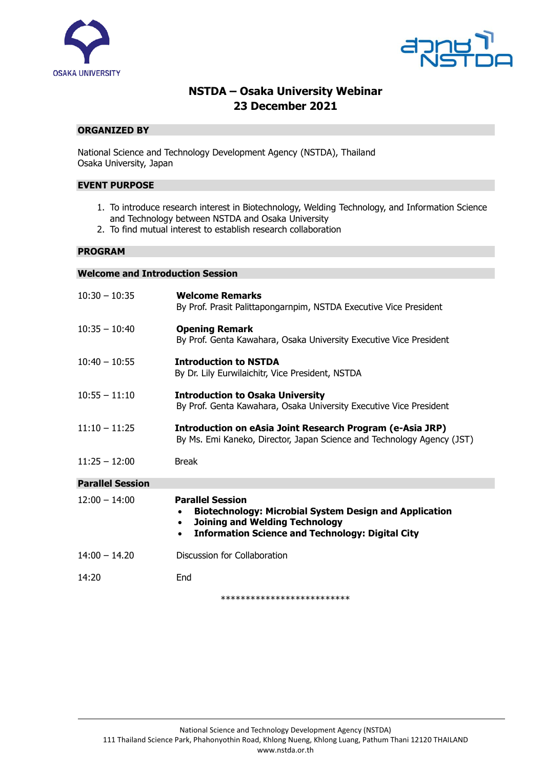



# **NSTDA – Osaka University Webinar 23 December 2021**

## **ORGANIZED BY**

National Science and Technology Development Agency (NSTDA), Thailand Osaka University, Japan

#### **EVENT PURPOSE**

- 1. To introduce research interest in Biotechnology, Welding Technology, and Information Science and Technology between NSTDA and Osaka University
- 2. To find mutual interest to establish research collaboration

#### **PROGRAM**

## **Welcome and Introduction Session**

| $10:30 - 10:35$         | <b>Welcome Remarks</b><br>By Prof. Prasit Palittapongarnpim, NSTDA Executive Vice President                                                                                                                            |
|-------------------------|------------------------------------------------------------------------------------------------------------------------------------------------------------------------------------------------------------------------|
| $10:35 - 10:40$         | <b>Opening Remark</b><br>By Prof. Genta Kawahara, Osaka University Executive Vice President                                                                                                                            |
| $10:40 - 10:55$         | <b>Introduction to NSTDA</b><br>By Dr. Lily Eurwilaichitr, Vice President, NSTDA                                                                                                                                       |
| $10:55 - 11:10$         | <b>Introduction to Osaka University</b><br>By Prof. Genta Kawahara, Osaka University Executive Vice President                                                                                                          |
| $11:10 - 11:25$         | Introduction on eAsia Joint Research Program (e-Asia JRP)<br>By Ms. Emi Kaneko, Director, Japan Science and Technology Agency (JST)                                                                                    |
| $11:25 - 12:00$         | <b>Break</b>                                                                                                                                                                                                           |
| <b>Parallel Session</b> |                                                                                                                                                                                                                        |
| $12:00 - 14:00$         | <b>Parallel Session</b><br><b>Biotechnology: Microbial System Design and Application</b><br><b>Joining and Welding Technology</b><br>$\bullet$<br><b>Information Science and Technology: Digital City</b><br>$\bullet$ |
| $14:00 - 14.20$         | Discussion for Collaboration                                                                                                                                                                                           |

14:20 End

\*\*\*\*\*\*\*\*\*\*\*\*\*\*\*\*\*\*\*\*\*\*\*\*\*\*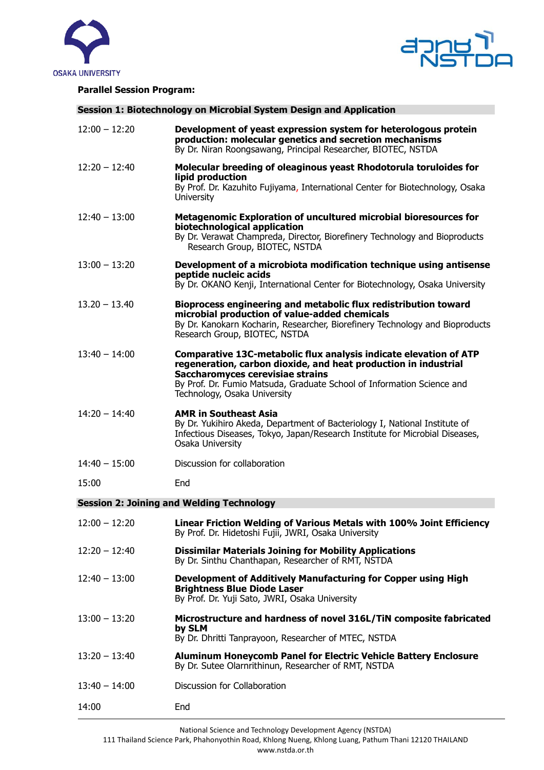



## **Parallel Session Program:**

**Session 1: Biotechnology on Microbial System Design and Application**

| $12:00 - 12:20$                                  | Development of yeast expression system for heterologous protein<br>production: molecular genetics and secretion mechanisms<br>By Dr. Niran Roongsawang, Principal Researcher, BIOTEC, NSTDA                                                                                        |  |
|--------------------------------------------------|------------------------------------------------------------------------------------------------------------------------------------------------------------------------------------------------------------------------------------------------------------------------------------|--|
| $12:20 - 12:40$                                  | Molecular breeding of oleaginous yeast Rhodotorula toruloides for<br>lipid production<br>By Prof. Dr. Kazuhito Fujiyama, International Center for Biotechnology, Osaka<br><b>University</b>                                                                                        |  |
| $12:40 - 13:00$                                  | Metagenomic Exploration of uncultured microbial bioresources for<br>biotechnological application<br>By Dr. Verawat Champreda, Director, Biorefinery Technology and Bioproducts<br>Research Group, BIOTEC, NSTDA                                                                    |  |
| $13:00 - 13:20$                                  | Development of a microbiota modification technique using antisense<br>peptide nucleic acids<br>By Dr. OKANO Kenji, International Center for Biotechnology, Osaka University                                                                                                        |  |
| $13.20 - 13.40$                                  | Bioprocess engineering and metabolic flux redistribution toward<br>microbial production of value-added chemicals<br>By Dr. Kanokarn Kocharin, Researcher, Biorefinery Technology and Bioproducts<br>Research Group, BIOTEC, NSTDA                                                  |  |
| $13:40 - 14:00$                                  | Comparative 13C-metabolic flux analysis indicate elevation of ATP<br>regeneration, carbon dioxide, and heat production in industrial<br>Saccharomyces cerevisiae strains<br>By Prof. Dr. Fumio Matsuda, Graduate School of Information Science and<br>Technology, Osaka University |  |
| $14:20 - 14:40$                                  | <b>AMR in Southeast Asia</b><br>By Dr. Yukihiro Akeda, Department of Bacteriology I, National Institute of<br>Infectious Diseases, Tokyo, Japan/Research Institute for Microbial Diseases,<br>Osaka University                                                                     |  |
| $14:40 - 15:00$                                  | Discussion for collaboration                                                                                                                                                                                                                                                       |  |
| 15:00                                            | End                                                                                                                                                                                                                                                                                |  |
| <b>Session 2: Joining and Welding Technology</b> |                                                                                                                                                                                                                                                                                    |  |
| $12:00 - 12:20$                                  | Linear Friction Welding of Various Metals with 100% Joint Efficiency<br>By Prof. Dr. Hidetoshi Fujii, JWRI, Osaka University                                                                                                                                                       |  |
| $12:20 - 12:40$                                  | <b>Dissimilar Materials Joining for Mobility Applications</b><br>By Dr. Sinthu Chanthapan, Researcher of RMT, NSTDA                                                                                                                                                                |  |
| $12:40 - 13:00$                                  | Development of Additively Manufacturing for Copper using High<br><b>Brightness Blue Diode Laser</b><br>By Prof. Dr. Yuji Sato, JWRI, Osaka University                                                                                                                              |  |
| $13:00 - 13:20$                                  | Microstructure and hardness of novel 316L/TiN composite fabricated<br>by SLM<br>By Dr. Dhritti Tanprayoon, Researcher of MTEC, NSTDA                                                                                                                                               |  |
| $13:20 - 13:40$                                  | Aluminum Honeycomb Panel for Electric Vehicle Battery Enclosure<br>By Dr. Sutee Olarnrithinun, Researcher of RMT, NSTDA                                                                                                                                                            |  |
| $13:40 - 14:00$                                  | Discussion for Collaboration                                                                                                                                                                                                                                                       |  |
| 14:00                                            | End                                                                                                                                                                                                                                                                                |  |